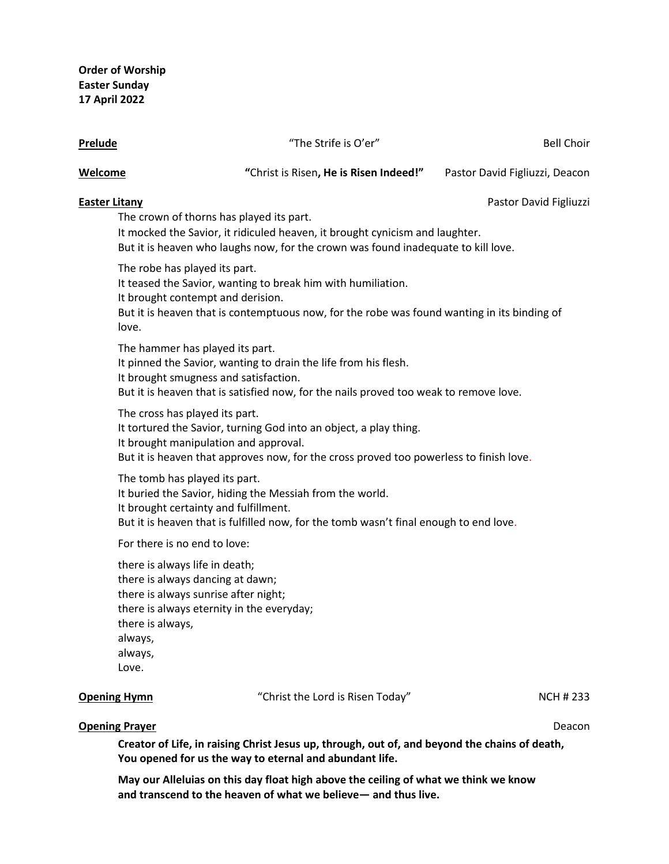| Prelude                                                                                                                                                       | "The Strife is O'er"                                                                                                                                                                                          | <b>Bell Choir</b>              |
|---------------------------------------------------------------------------------------------------------------------------------------------------------------|---------------------------------------------------------------------------------------------------------------------------------------------------------------------------------------------------------------|--------------------------------|
| Welcome                                                                                                                                                       | "Christ is Risen, He is Risen Indeed!"                                                                                                                                                                        | Pastor David Figliuzzi, Deacon |
| <b>Easter Litany</b>                                                                                                                                          | The crown of thorns has played its part.<br>It mocked the Savior, it ridiculed heaven, it brought cynicism and laughter.<br>But it is heaven who laughs now, for the crown was found inadequate to kill love. | Pastor David Figliuzzi         |
| The robe has played its part.<br>It brought contempt and derision.<br>love.                                                                                   | It teased the Savior, wanting to break him with humiliation.<br>But it is heaven that is contemptuous now, for the robe was found wanting in its binding of                                                   |                                |
| The hammer has played its part.                                                                                                                               | It pinned the Savior, wanting to drain the life from his flesh.<br>It brought smugness and satisfaction.<br>But it is heaven that is satisfied now, for the nails proved too weak to remove love.             |                                |
| The cross has played its part.                                                                                                                                | It tortured the Savior, turning God into an object, a play thing.<br>It brought manipulation and approval.<br>But it is heaven that approves now, for the cross proved too powerless to finish love.          |                                |
| The tomb has played its part.                                                                                                                                 | It buried the Savior, hiding the Messiah from the world.<br>It brought certainty and fulfillment.<br>But it is heaven that is fulfilled now, for the tomb wasn't final enough to end love.                    |                                |
| For there is no end to love:                                                                                                                                  |                                                                                                                                                                                                               |                                |
| there is always life in death;<br>there is always dancing at dawn;<br>there is always sunrise after night;<br>there is always,<br>always,<br>always,<br>Love. | there is always eternity in the everyday;                                                                                                                                                                     |                                |
| <b>Opening Hymn</b>                                                                                                                                           | "Christ the Lord is Risen Today"                                                                                                                                                                              | <b>NCH #233</b>                |
| <b>Opening Prayer</b>                                                                                                                                         |                                                                                                                                                                                                               | Deacon                         |

**Creator of Life, in raising Christ Jesus up, through, out of, and beyond the chains of death, You opened for us the way to eternal and abundant life.**

**May our Alleluias on this day float high above the ceiling of what we think we know and transcend to the heaven of what we believe— and thus live.**